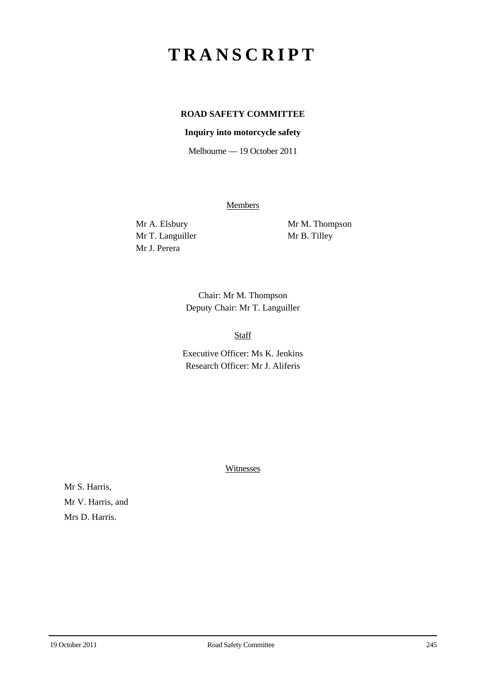## **TRANSCRIPT**

## **ROAD SAFETY COMMITTEE**

## **Inquiry into motorcycle safety**

Melbourne — 19 October 2011

**Members** 

Mr T. Languiller Mr B. Tilley Mr J. Perera

Mr A. Elsbury Mr M. Thompson

Chair: Mr M. Thompson Deputy Chair: Mr T. Languiller

Staff

Executive Officer: Ms K. Jenkins Research Officer: Mr J. Aliferis

Witnesses

Mr S. Harris, Mr V. Harris, and Mrs D. Harris.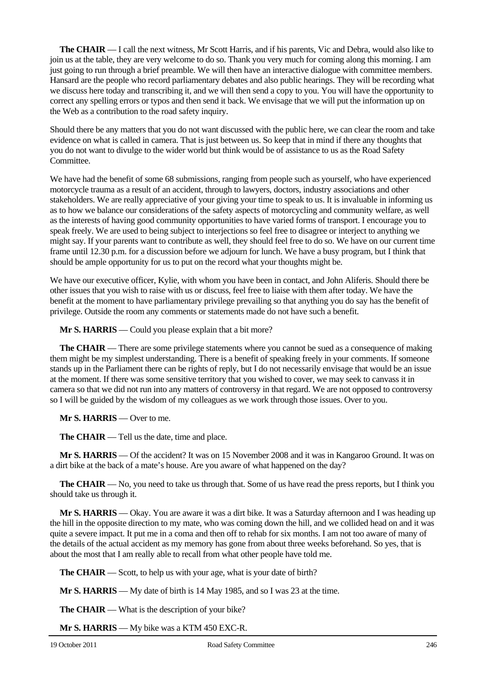**The CHAIR** — I call the next witness, Mr Scott Harris, and if his parents, Vic and Debra, would also like to join us at the table, they are very welcome to do so. Thank you very much for coming along this morning. I am just going to run through a brief preamble. We will then have an interactive dialogue with committee members. Hansard are the people who record parliamentary debates and also public hearings. They will be recording what we discuss here today and transcribing it, and we will then send a copy to you. You will have the opportunity to correct any spelling errors or typos and then send it back. We envisage that we will put the information up on the Web as a contribution to the road safety inquiry.

Should there be any matters that you do not want discussed with the public here, we can clear the room and take evidence on what is called in camera. That is just between us. So keep that in mind if there any thoughts that you do not want to divulge to the wider world but think would be of assistance to us as the Road Safety Committee.

We have had the benefit of some 68 submissions, ranging from people such as yourself, who have experienced motorcycle trauma as a result of an accident, through to lawyers, doctors, industry associations and other stakeholders. We are really appreciative of your giving your time to speak to us. It is invaluable in informing us as to how we balance our considerations of the safety aspects of motorcycling and community welfare, as well as the interests of having good community opportunities to have varied forms of transport. I encourage you to speak freely. We are used to being subject to interjections so feel free to disagree or interject to anything we might say. If your parents want to contribute as well, they should feel free to do so. We have on our current time frame until 12.30 p.m. for a discussion before we adjourn for lunch. We have a busy program, but I think that should be ample opportunity for us to put on the record what your thoughts might be.

We have our executive officer, Kylie, with whom you have been in contact, and John Aliferis. Should there be other issues that you wish to raise with us or discuss, feel free to liaise with them after today. We have the benefit at the moment to have parliamentary privilege prevailing so that anything you do say has the benefit of privilege. Outside the room any comments or statements made do not have such a benefit.

**Mr S. HARRIS** — Could you please explain that a bit more?

**The CHAIR** — There are some privilege statements where you cannot be sued as a consequence of making them might be my simplest understanding. There is a benefit of speaking freely in your comments. If someone stands up in the Parliament there can be rights of reply, but I do not necessarily envisage that would be an issue at the moment. If there was some sensitive territory that you wished to cover, we may seek to canvass it in camera so that we did not run into any matters of controversy in that regard. We are not opposed to controversy so I will be guided by the wisdom of my colleagues as we work through those issues. Over to you.

**Mr S. HARRIS** — Over to me.

**The CHAIR** — Tell us the date, time and place.

**Mr S. HARRIS** — Of the accident? It was on 15 November 2008 and it was in Kangaroo Ground. It was on a dirt bike at the back of a mate's house. Are you aware of what happened on the day?

**The CHAIR** — No, you need to take us through that. Some of us have read the press reports, but I think you should take us through it.

**Mr S. HARRIS** — Okay. You are aware it was a dirt bike. It was a Saturday afternoon and I was heading up the hill in the opposite direction to my mate, who was coming down the hill, and we collided head on and it was quite a severe impact. It put me in a coma and then off to rehab for six months. I am not too aware of many of the details of the actual accident as my memory has gone from about three weeks beforehand. So yes, that is about the most that I am really able to recall from what other people have told me.

**The CHAIR** — Scott, to help us with your age, what is your date of birth?

**Mr S. HARRIS** — My date of birth is 14 May 1985, and so I was 23 at the time.

**The CHAIR** — What is the description of your bike?

**Mr S. HARRIS** — My bike was a KTM 450 EXC-R.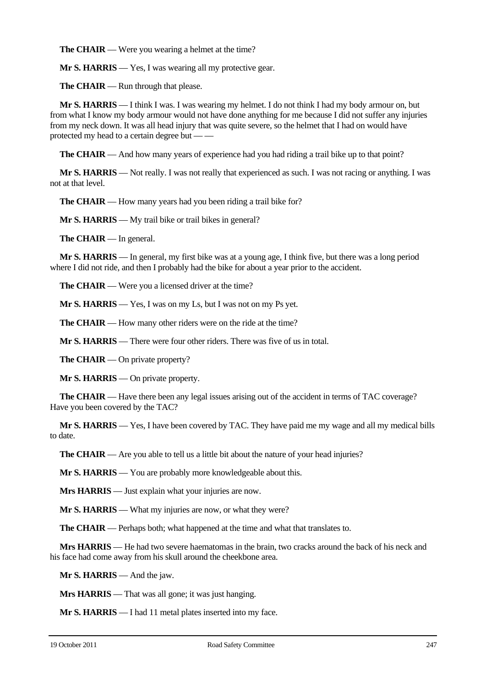**The CHAIR** — Were you wearing a helmet at the time?

**Mr S. HARRIS** — Yes, I was wearing all my protective gear.

**The CHAIR** — Run through that please.

**Mr S. HARRIS** — I think I was. I was wearing my helmet. I do not think I had my body armour on, but from what I know my body armour would not have done anything for me because I did not suffer any injuries from my neck down. It was all head injury that was quite severe, so the helmet that I had on would have protected my head to a certain degree but — —

**The CHAIR** — And how many years of experience had you had riding a trail bike up to that point?

**Mr S. HARRIS** — Not really. I was not really that experienced as such. I was not racing or anything. I was not at that level.

**The CHAIR** — How many years had you been riding a trail bike for?

**Mr S. HARRIS** — My trail bike or trail bikes in general?

**The CHAIR** — In general.

**Mr S. HARRIS** — In general, my first bike was at a young age, I think five, but there was a long period where I did not ride, and then I probably had the bike for about a year prior to the accident.

**The CHAIR** — Were you a licensed driver at the time?

**Mr S. HARRIS** — Yes, I was on my Ls, but I was not on my Ps yet.

**The CHAIR** — How many other riders were on the ride at the time?

**Mr S. HARRIS** — There were four other riders. There was five of us in total.

**The CHAIR** — On private property?

**Mr S. HARRIS** — On private property.

**The CHAIR** — Have there been any legal issues arising out of the accident in terms of TAC coverage? Have you been covered by the TAC?

**Mr S. HARRIS** — Yes, I have been covered by TAC. They have paid me my wage and all my medical bills to date.

**The CHAIR** — Are you able to tell us a little bit about the nature of your head injuries?

**Mr S. HARRIS** — You are probably more knowledgeable about this.

**Mrs HARRIS** — Just explain what your injuries are now.

**Mr S. HARRIS** — What my injuries are now, or what they were?

**The CHAIR** — Perhaps both; what happened at the time and what that translates to.

**Mrs HARRIS** — He had two severe haematomas in the brain, two cracks around the back of his neck and his face had come away from his skull around the cheekbone area.

**Mr S. HARRIS** — And the jaw.

**Mrs HARRIS** — That was all gone; it was just hanging.

**Mr S. HARRIS** — I had 11 metal plates inserted into my face.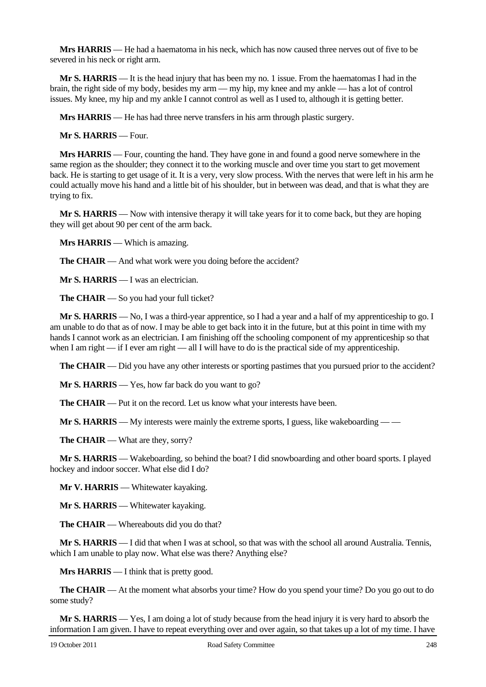**Mrs HARRIS** — He had a haematoma in his neck, which has now caused three nerves out of five to be severed in his neck or right arm.

**Mr S. HARRIS** — It is the head injury that has been my no. 1 issue. From the haematomas I had in the brain, the right side of my body, besides my arm — my hip, my knee and my ankle — has a lot of control issues. My knee, my hip and my ankle I cannot control as well as I used to, although it is getting better.

**Mrs HARRIS** — He has had three nerve transfers in his arm through plastic surgery.

**Mr S. HARRIS** — Four.

**Mrs HARRIS** — Four, counting the hand. They have gone in and found a good nerve somewhere in the same region as the shoulder; they connect it to the working muscle and over time you start to get movement back. He is starting to get usage of it. It is a very, very slow process. With the nerves that were left in his arm he could actually move his hand and a little bit of his shoulder, but in between was dead, and that is what they are trying to fix.

**Mr S. HARRIS** — Now with intensive therapy it will take years for it to come back, but they are hoping they will get about 90 per cent of the arm back.

**Mrs HARRIS** — Which is amazing.

**The CHAIR** — And what work were you doing before the accident?

**Mr S. HARRIS** — I was an electrician.

**The CHAIR** — So you had your full ticket?

**Mr S. HARRIS** — No, I was a third-year apprentice, so I had a year and a half of my apprenticeship to go. I am unable to do that as of now. I may be able to get back into it in the future, but at this point in time with my hands I cannot work as an electrician. I am finishing off the schooling component of my apprenticeship so that when I am right — if I ever am right — all I will have to do is the practical side of my apprenticeship.

**The <b>CHAIR** — Did you have any other interests or sporting pastimes that you pursued prior to the accident?

**Mr S. HARRIS** — Yes, how far back do you want to go?

**The CHAIR** — Put it on the record. Let us know what your interests have been.

**Mr S. HARRIS** — My interests were mainly the extreme sports, I guess, like wakeboarding — —

**The CHAIR** — What are they, sorry?

**Mr S. HARRIS** — Wakeboarding, so behind the boat? I did snowboarding and other board sports. I played hockey and indoor soccer. What else did I do?

**Mr V. HARRIS** — Whitewater kayaking.

**Mr S. HARRIS** — Whitewater kayaking.

**The CHAIR** — Whereabouts did you do that?

**Mr S. HARRIS** — I did that when I was at school, so that was with the school all around Australia. Tennis, which I am unable to play now. What else was there? Anything else?

**Mrs HARRIS** — I think that is pretty good.

**The CHAIR** — At the moment what absorbs your time? How do you spend your time? Do you go out to do some study?

**Mr S. HARRIS** — Yes, I am doing a lot of study because from the head injury it is very hard to absorb the information I am given. I have to repeat everything over and over again, so that takes up a lot of my time. I have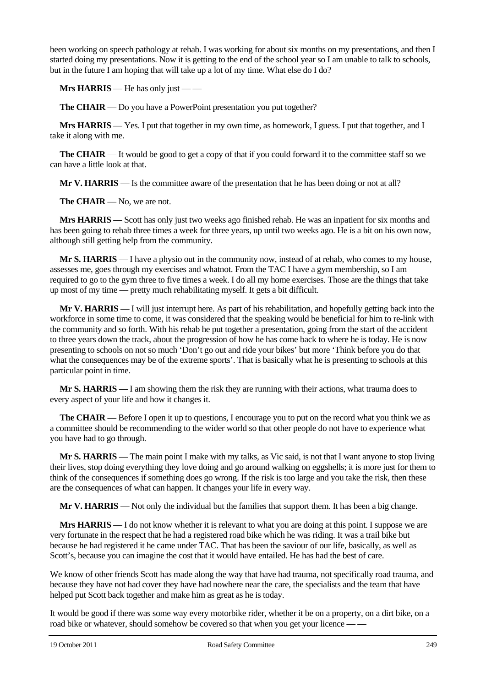been working on speech pathology at rehab. I was working for about six months on my presentations, and then I started doing my presentations. Now it is getting to the end of the school year so I am unable to talk to schools, but in the future I am hoping that will take up a lot of my time. What else do I do?

**Mrs HARRIS** — He has only just — —

**The CHAIR** — Do you have a PowerPoint presentation you put together?

**Mrs HARRIS** — Yes. I put that together in my own time, as homework, I guess. I put that together, and I take it along with me.

**The CHAIR** — It would be good to get a copy of that if you could forward it to the committee staff so we can have a little look at that.

**Mr V. HARRIS** — Is the committee aware of the presentation that he has been doing or not at all?

**The CHAIR** — No, we are not.

**Mrs HARRIS** — Scott has only just two weeks ago finished rehab. He was an inpatient for six months and has been going to rehab three times a week for three years, up until two weeks ago. He is a bit on his own now, although still getting help from the community.

**Mr S. HARRIS** — I have a physio out in the community now, instead of at rehab, who comes to my house, assesses me, goes through my exercises and whatnot. From the TAC I have a gym membership, so I am required to go to the gym three to five times a week. I do all my home exercises. Those are the things that take up most of my time — pretty much rehabilitating myself. It gets a bit difficult.

**Mr V. HARRIS** — I will just interrupt here. As part of his rehabilitation, and hopefully getting back into the workforce in some time to come, it was considered that the speaking would be beneficial for him to re-link with the community and so forth. With his rehab he put together a presentation, going from the start of the accident to three years down the track, about the progression of how he has come back to where he is today. He is now presenting to schools on not so much 'Don't go out and ride your bikes' but more 'Think before you do that what the consequences may be of the extreme sports'. That is basically what he is presenting to schools at this particular point in time.

**Mr S. HARRIS** — I am showing them the risk they are running with their actions, what trauma does to every aspect of your life and how it changes it.

**The CHAIR** — Before I open it up to questions, I encourage you to put on the record what you think we as a committee should be recommending to the wider world so that other people do not have to experience what you have had to go through.

**Mr S. HARRIS** — The main point I make with my talks, as Vic said, is not that I want anyone to stop living their lives, stop doing everything they love doing and go around walking on eggshells; it is more just for them to think of the consequences if something does go wrong. If the risk is too large and you take the risk, then these are the consequences of what can happen. It changes your life in every way.

**Mr V. HARRIS** — Not only the individual but the families that support them. It has been a big change.

**Mrs HARRIS** — I do not know whether it is relevant to what you are doing at this point. I suppose we are very fortunate in the respect that he had a registered road bike which he was riding. It was a trail bike but because he had registered it he came under TAC. That has been the saviour of our life, basically, as well as Scott's, because you can imagine the cost that it would have entailed. He has had the best of care.

We know of other friends Scott has made along the way that have had trauma, not specifically road trauma, and because they have not had cover they have had nowhere near the care, the specialists and the team that have helped put Scott back together and make him as great as he is today.

It would be good if there was some way every motorbike rider, whether it be on a property, on a dirt bike, on a road bike or whatever, should somehow be covered so that when you get your licence —–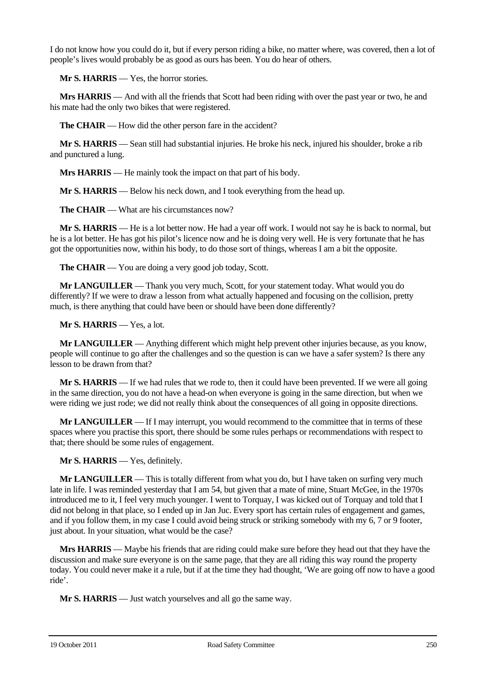I do not know how you could do it, but if every person riding a bike, no matter where, was covered, then a lot of people's lives would probably be as good as ours has been. You do hear of others.

**Mr S. HARRIS** — Yes, the horror stories.

**Mrs HARRIS** — And with all the friends that Scott had been riding with over the past year or two, he and his mate had the only two bikes that were registered.

**The CHAIR** — How did the other person fare in the accident?

**Mr S. HARRIS** — Sean still had substantial injuries. He broke his neck, injured his shoulder, broke a rib and punctured a lung.

**Mrs HARRIS** — He mainly took the impact on that part of his body.

**Mr S. HARRIS** — Below his neck down, and I took everything from the head up.

**The CHAIR** — What are his circumstances now?

**Mr S. HARRIS** — He is a lot better now. He had a year off work. I would not say he is back to normal, but he is a lot better. He has got his pilot's licence now and he is doing very well. He is very fortunate that he has got the opportunities now, within his body, to do those sort of things, whereas I am a bit the opposite.

**The CHAIR** — You are doing a very good job today, Scott.

**Mr LANGUILLER** — Thank you very much, Scott, for your statement today. What would you do differently? If we were to draw a lesson from what actually happened and focusing on the collision, pretty much, is there anything that could have been or should have been done differently?

**Mr S. HARRIS** — Yes, a lot.

**Mr LANGUILLER** — Anything different which might help prevent other injuries because, as you know, people will continue to go after the challenges and so the question is can we have a safer system? Is there any lesson to be drawn from that?

**Mr S. HARRIS** — If we had rules that we rode to, then it could have been prevented. If we were all going in the same direction, you do not have a head-on when everyone is going in the same direction, but when we were riding we just rode; we did not really think about the consequences of all going in opposite directions.

**Mr LANGUILLER** — If I may interrupt, you would recommend to the committee that in terms of these spaces where you practise this sport, there should be some rules perhaps or recommendations with respect to that; there should be some rules of engagement.

**Mr S. HARRIS** — Yes, definitely.

**Mr LANGUILLER** — This is totally different from what you do, but I have taken on surfing very much late in life. I was reminded yesterday that I am 54, but given that a mate of mine, Stuart McGee, in the 1970s introduced me to it, I feel very much younger. I went to Torquay, I was kicked out of Torquay and told that I did not belong in that place, so I ended up in Jan Juc. Every sport has certain rules of engagement and games, and if you follow them, in my case I could avoid being struck or striking somebody with my 6, 7 or 9 footer, just about. In your situation, what would be the case?

**Mrs HARRIS** — Maybe his friends that are riding could make sure before they head out that they have the discussion and make sure everyone is on the same page, that they are all riding this way round the property today. You could never make it a rule, but if at the time they had thought, 'We are going off now to have a good ride'.

**Mr S. HARRIS** — Just watch yourselves and all go the same way.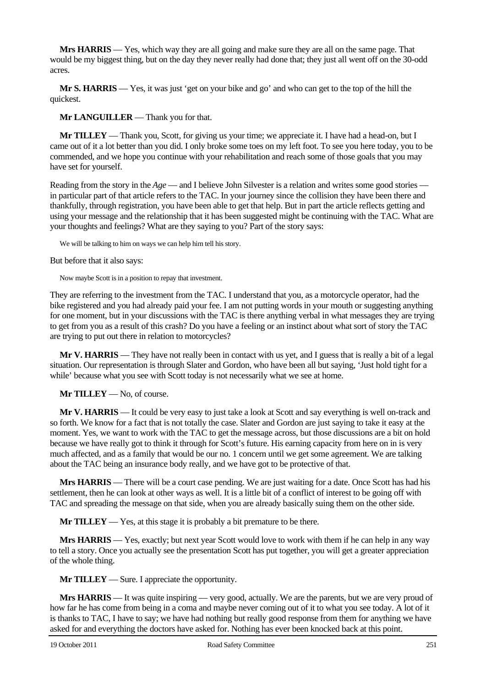**Mrs HARRIS** — Yes, which way they are all going and make sure they are all on the same page. That would be my biggest thing, but on the day they never really had done that; they just all went off on the 30-odd acres.

**Mr S. HARRIS** — Yes, it was just 'get on your bike and go' and who can get to the top of the hill the quickest.

**Mr LANGUILLER** — Thank you for that.

**Mr TILLEY** — Thank you, Scott, for giving us your time; we appreciate it. I have had a head-on, but I came out of it a lot better than you did. I only broke some toes on my left foot. To see you here today, you to be commended, and we hope you continue with your rehabilitation and reach some of those goals that you may have set for yourself.

Reading from the story in the *Age* — and I believe John Silvester is a relation and writes some good stories in particular part of that article refers to the TAC. In your journey since the collision they have been there and thankfully, through registration, you have been able to get that help. But in part the article reflects getting and using your message and the relationship that it has been suggested might be continuing with the TAC. What are your thoughts and feelings? What are they saying to you? Part of the story says:

We will be talking to him on ways we can help him tell his story.

But before that it also says:

Now maybe Scott is in a position to repay that investment.

They are referring to the investment from the TAC. I understand that you, as a motorcycle operator, had the bike registered and you had already paid your fee. I am not putting words in your mouth or suggesting anything for one moment, but in your discussions with the TAC is there anything verbal in what messages they are trying to get from you as a result of this crash? Do you have a feeling or an instinct about what sort of story the TAC are trying to put out there in relation to motorcycles?

**Mr V. HARRIS** — They have not really been in contact with us yet, and I guess that is really a bit of a legal situation. Our representation is through Slater and Gordon, who have been all but saying, 'Just hold tight for a while' because what you see with Scott today is not necessarily what we see at home.

**Mr TILLEY** — No, of course.

**Mr V. HARRIS** — It could be very easy to just take a look at Scott and say everything is well on-track and so forth. We know for a fact that is not totally the case. Slater and Gordon are just saying to take it easy at the moment. Yes, we want to work with the TAC to get the message across, but those discussions are a bit on hold because we have really got to think it through for Scott's future. His earning capacity from here on in is very much affected, and as a family that would be our no. 1 concern until we get some agreement. We are talking about the TAC being an insurance body really, and we have got to be protective of that.

**Mrs HARRIS** — There will be a court case pending. We are just waiting for a date. Once Scott has had his settlement, then he can look at other ways as well. It is a little bit of a conflict of interest to be going off with TAC and spreading the message on that side, when you are already basically suing them on the other side.

**Mr TILLEY** — Yes, at this stage it is probably a bit premature to be there.

**Mrs HARRIS** — Yes, exactly; but next year Scott would love to work with them if he can help in any way to tell a story. Once you actually see the presentation Scott has put together, you will get a greater appreciation of the whole thing.

**Mr TILLEY** — Sure. I appreciate the opportunity.

**Mrs HARRIS** — It was quite inspiring — very good, actually. We are the parents, but we are very proud of how far he has come from being in a coma and maybe never coming out of it to what you see today. A lot of it is thanks to TAC, I have to say; we have had nothing but really good response from them for anything we have asked for and everything the doctors have asked for. Nothing has ever been knocked back at this point.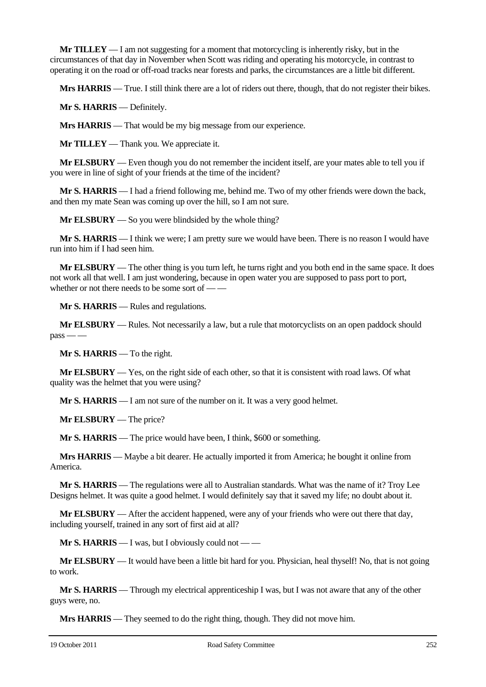**Mr TILLEY** — I am not suggesting for a moment that motorcycling is inherently risky, but in the circumstances of that day in November when Scott was riding and operating his motorcycle, in contrast to operating it on the road or off-road tracks near forests and parks, the circumstances are a little bit different.

**Mrs HARRIS** — True. I still think there are a lot of riders out there, though, that do not register their bikes.

**Mr S. HARRIS** — Definitely.

**Mrs HARRIS** — That would be my big message from our experience.

**Mr TILLEY** — Thank you. We appreciate it.

**Mr ELSBURY** — Even though you do not remember the incident itself, are your mates able to tell you if you were in line of sight of your friends at the time of the incident?

**Mr S. HARRIS** — I had a friend following me, behind me. Two of my other friends were down the back, and then my mate Sean was coming up over the hill, so I am not sure.

**Mr ELSBURY** — So you were blindsided by the whole thing?

**Mr S. HARRIS** — I think we were; I am pretty sure we would have been. There is no reason I would have run into him if I had seen him.

**Mr ELSBURY** — The other thing is you turn left, he turns right and you both end in the same space. It does not work all that well. I am just wondering, because in open water you are supposed to pass port to port, whether or not there needs to be some sort of — —

**Mr S. HARRIS** — Rules and regulations.

**Mr ELSBURY** — Rules. Not necessarily a law, but a rule that motorcyclists on an open paddock should  $pass$  — —

**Mr S. HARRIS** — To the right.

**Mr ELSBURY** — Yes, on the right side of each other, so that it is consistent with road laws. Of what quality was the helmet that you were using?

**Mr S. HARRIS** — I am not sure of the number on it. It was a very good helmet.

**Mr ELSBURY** — The price?

**Mr S. HARRIS** — The price would have been, I think, \$600 or something.

**Mrs HARRIS** — Maybe a bit dearer. He actually imported it from America; he bought it online from America.

**Mr S. HARRIS** — The regulations were all to Australian standards. What was the name of it? Troy Lee Designs helmet. It was quite a good helmet. I would definitely say that it saved my life; no doubt about it.

**Mr ELSBURY** — After the accident happened, were any of your friends who were out there that day, including yourself, trained in any sort of first aid at all?

**Mr S. HARRIS** — I was, but I obviously could not — —

**Mr ELSBURY** — It would have been a little bit hard for you. Physician, heal thyself! No, that is not going to work.

**Mr S. HARRIS** — Through my electrical apprenticeship I was, but I was not aware that any of the other guys were, no.

**Mrs HARRIS** — They seemed to do the right thing, though. They did not move him.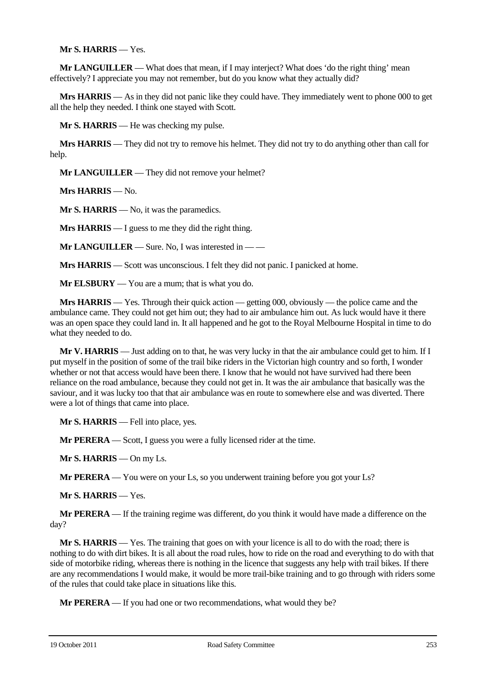## **Mr S. HARRIS** — Yes.

**Mr LANGUILLER** — What does that mean, if I may interject? What does 'do the right thing' mean effectively? I appreciate you may not remember, but do you know what they actually did?

**Mrs HARRIS** — As in they did not panic like they could have. They immediately went to phone 000 to get all the help they needed. I think one stayed with Scott.

**Mr S. HARRIS** — He was checking my pulse.

**Mrs HARRIS** — They did not try to remove his helmet. They did not try to do anything other than call for help.

**Mr LANGUILLER** — They did not remove your helmet?

**Mrs HARRIS** — No.

**Mr S. HARRIS** — No, it was the paramedics.

**Mrs HARRIS** — I guess to me they did the right thing.

**Mr LANGUILLER** — Sure. No, I was interested in — —

**Mrs HARRIS** — Scott was unconscious. I felt they did not panic. I panicked at home.

**Mr ELSBURY** — You are a mum; that is what you do.

**Mrs HARRIS** — Yes. Through their quick action — getting 000, obviously — the police came and the ambulance came. They could not get him out; they had to air ambulance him out. As luck would have it there was an open space they could land in. It all happened and he got to the Royal Melbourne Hospital in time to do what they needed to do.

**Mr V. HARRIS** — Just adding on to that, he was very lucky in that the air ambulance could get to him. If I put myself in the position of some of the trail bike riders in the Victorian high country and so forth, I wonder whether or not that access would have been there. I know that he would not have survived had there been reliance on the road ambulance, because they could not get in. It was the air ambulance that basically was the saviour, and it was lucky too that that air ambulance was en route to somewhere else and was diverted. There were a lot of things that came into place.

**Mr S. HARRIS** — Fell into place, yes.

**Mr PERERA** — Scott, I guess you were a fully licensed rider at the time.

**Mr S. HARRIS** — On my Ls.

**Mr PERERA** — You were on your Ls, so you underwent training before you got your Ls?

**Mr S. HARRIS** — Yes.

**Mr PERERA** — If the training regime was different, do you think it would have made a difference on the day?

**Mr S. HARRIS** — Yes. The training that goes on with your licence is all to do with the road; there is nothing to do with dirt bikes. It is all about the road rules, how to ride on the road and everything to do with that side of motorbike riding, whereas there is nothing in the licence that suggests any help with trail bikes. If there are any recommendations I would make, it would be more trail-bike training and to go through with riders some of the rules that could take place in situations like this.

**Mr PERERA** — If you had one or two recommendations, what would they be?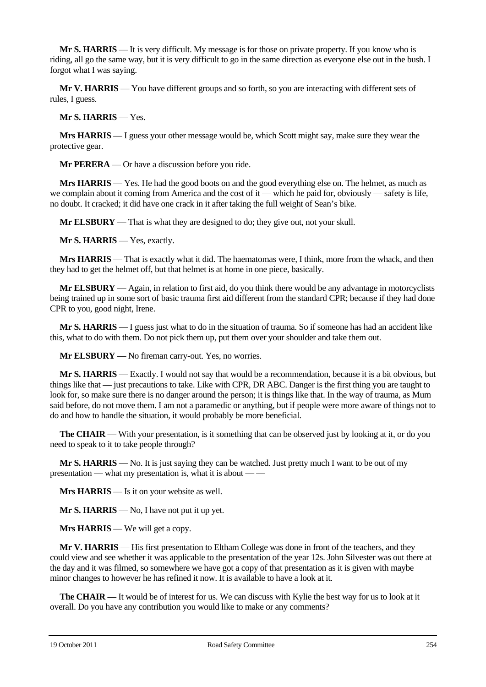**Mr S. HARRIS** — It is very difficult. My message is for those on private property. If you know who is riding, all go the same way, but it is very difficult to go in the same direction as everyone else out in the bush. I forgot what I was saying.

**Mr V. HARRIS** — You have different groups and so forth, so you are interacting with different sets of rules, I guess.

**Mr S. HARRIS** — Yes.

**Mrs HARRIS** — I guess your other message would be, which Scott might say, make sure they wear the protective gear.

**Mr PERERA** — Or have a discussion before you ride.

**Mrs HARRIS** — Yes. He had the good boots on and the good everything else on. The helmet, as much as we complain about it coming from America and the cost of it — which he paid for, obviously — safety is life, no doubt. It cracked; it did have one crack in it after taking the full weight of Sean's bike.

**Mr ELSBURY** — That is what they are designed to do; they give out, not your skull.

**Mr S. HARRIS** — Yes, exactly.

**Mrs HARRIS** — That is exactly what it did. The haematomas were, I think, more from the whack, and then they had to get the helmet off, but that helmet is at home in one piece, basically.

**Mr ELSBURY** — Again, in relation to first aid, do you think there would be any advantage in motorcyclists being trained up in some sort of basic trauma first aid different from the standard CPR; because if they had done CPR to you, good night, Irene.

**Mr S. HARRIS** — I guess just what to do in the situation of trauma. So if someone has had an accident like this, what to do with them. Do not pick them up, put them over your shoulder and take them out.

**Mr ELSBURY** — No fireman carry-out. Yes, no worries.

**Mr S. HARRIS** — Exactly. I would not say that would be a recommendation, because it is a bit obvious, but things like that — just precautions to take. Like with CPR, DR ABC. Danger is the first thing you are taught to look for, so make sure there is no danger around the person; it is things like that. In the way of trauma, as Mum said before, do not move them. I am not a paramedic or anything, but if people were more aware of things not to do and how to handle the situation, it would probably be more beneficial.

**The CHAIR** — With your presentation, is it something that can be observed just by looking at it, or do you need to speak to it to take people through?

**Mr S. HARRIS** — No. It is just saying they can be watched. Just pretty much I want to be out of my presentation — what my presentation is, what it is about — —

**Mrs HARRIS** — Is it on your website as well.

**Mr S. HARRIS** — No, I have not put it up yet.

**Mrs HARRIS** — We will get a copy.

**Mr V. HARRIS** — His first presentation to Eltham College was done in front of the teachers, and they could view and see whether it was applicable to the presentation of the year 12s. John Silvester was out there at the day and it was filmed, so somewhere we have got a copy of that presentation as it is given with maybe minor changes to however he has refined it now. It is available to have a look at it.

**The CHAIR** — It would be of interest for us. We can discuss with Kylie the best way for us to look at it overall. Do you have any contribution you would like to make or any comments?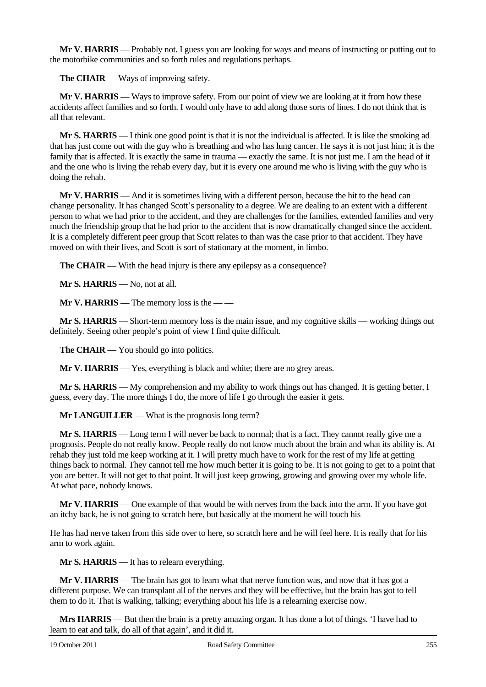**Mr V. HARRIS** — Probably not. I guess you are looking for ways and means of instructing or putting out to the motorbike communities and so forth rules and regulations perhaps.

**The CHAIR** — Ways of improving safety.

**Mr V. HARRIS** — Ways to improve safety. From our point of view we are looking at it from how these accidents affect families and so forth. I would only have to add along those sorts of lines. I do not think that is all that relevant.

**Mr S. HARRIS** — I think one good point is that it is not the individual is affected. It is like the smoking ad that has just come out with the guy who is breathing and who has lung cancer. He says it is not just him; it is the family that is affected. It is exactly the same in trauma — exactly the same. It is not just me. I am the head of it and the one who is living the rehab every day, but it is every one around me who is living with the guy who is doing the rehab.

**Mr V. HARRIS** — And it is sometimes living with a different person, because the hit to the head can change personality. It has changed Scott's personality to a degree. We are dealing to an extent with a different person to what we had prior to the accident, and they are challenges for the families, extended families and very much the friendship group that he had prior to the accident that is now dramatically changed since the accident. It is a completely different peer group that Scott relates to than was the case prior to that accident. They have moved on with their lives, and Scott is sort of stationary at the moment, in limbo.

**The CHAIR** — With the head injury is there any epilepsy as a consequence?

**Mr S. HARRIS** — No, not at all.

**Mr V. HARRIS** — The memory loss is the — —

**Mr S. HARRIS** — Short-term memory loss is the main issue, and my cognitive skills — working things out definitely. Seeing other people's point of view I find quite difficult.

**The CHAIR** — You should go into politics.

**Mr V. HARRIS** — Yes, everything is black and white; there are no grey areas.

**Mr S. HARRIS** — My comprehension and my ability to work things out has changed. It is getting better, I guess, every day. The more things I do, the more of life I go through the easier it gets.

**Mr LANGUILLER** — What is the prognosis long term?

**Mr S. HARRIS** — Long term I will never be back to normal; that is a fact. They cannot really give me a prognosis. People do not really know. People really do not know much about the brain and what its ability is. At rehab they just told me keep working at it. I will pretty much have to work for the rest of my life at getting things back to normal. They cannot tell me how much better it is going to be. It is not going to get to a point that you are better. It will not get to that point. It will just keep growing, growing and growing over my whole life. At what pace, nobody knows.

**Mr V. HARRIS** — One example of that would be with nerves from the back into the arm. If you have got an itchy back, he is not going to scratch here, but basically at the moment he will touch his — —

He has had nerve taken from this side over to here, so scratch here and he will feel here. It is really that for his arm to work again.

**Mr S. HARRIS** — It has to relearn everything.

**Mr V. HARRIS** — The brain has got to learn what that nerve function was, and now that it has got a different purpose. We can transplant all of the nerves and they will be effective, but the brain has got to tell them to do it. That is walking, talking; everything about his life is a relearning exercise now.

**Mrs HARRIS** — But then the brain is a pretty amazing organ. It has done a lot of things. 'I have had to learn to eat and talk, do all of that again', and it did it.